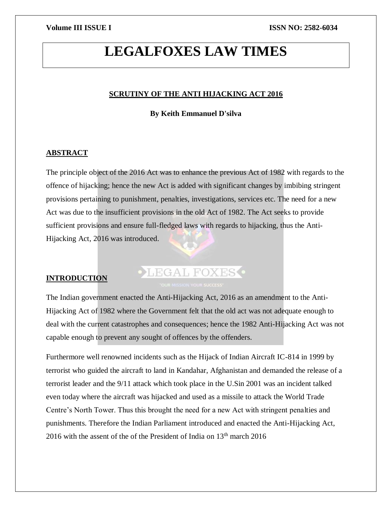## **LEGALFOXES LAW TIMES**

#### **SCRUTINY OF THE ANTI HIJACKING ACT 2016**

**By Keith Emmanuel D'silva**

### **ABSTRACT**

The principle object of the 2016 Act was to enhance the previous Act of 1982 with regards to the offence of hijacking; hence the new Act is added with significant changes by imbibing stringent provisions pertaining to punishment, penalties, investigations, services etc. The need for a new Act was due to the insufficient provisions in the old Act of 1982. The Act seeks to provide sufficient provisions and ensure full-fledged laws with regards to hijacking, thus the Anti-Hijacking Act, 2016 was introduced.

### **INTRODUCTION**

# LEGAL FOXES .

The Indian government enacted the Anti-Hijacking Act, 2016 as an amendment to the Anti-Hijacking Act of 1982 where the Government felt that the old act was not adequate enough to deal with the current catastrophes and consequences; hence the 1982 Anti-Hijacking Act was not capable enough to prevent any sought of offences by the offenders.

Furthermore well renowned incidents such as the Hijack of Indian Aircraft IC-814 in 1999 by terrorist who guided the aircraft to land in Kandahar, Afghanistan and demanded the release of a terrorist leader and the 9/11 attack which took place in the U.Sin 2001 was an incident talked even today where the aircraft was hijacked and used as a missile to attack the World Trade Centre's North Tower. Thus this brought the need for a new Act with stringent penalties and punishments. Therefore the Indian Parliament introduced and enacted the Anti-Hijacking Act, 2016 with the assent of the of the President of India on  $13<sup>th</sup>$  march 2016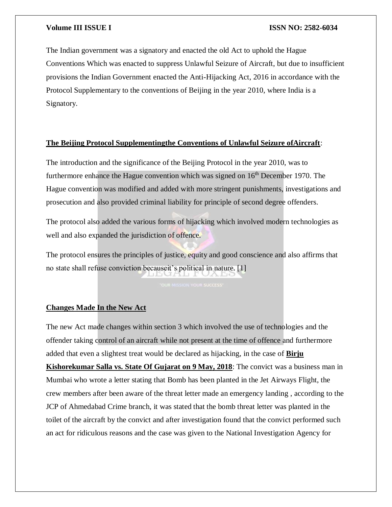The Indian government was a signatory and enacted the old Act to uphold the Hague Conventions Which was enacted to suppress Unlawful Seizure of Aircraft, but due to insufficient provisions the Indian Government enacted the Anti-Hijacking Act, 2016 in accordance with the Protocol Supplementary to the conventions of Beijing in the year 2010, where India is a Signatory.

#### **The Beijing Protocol Supplementingthe Conventions of Unlawful Seizure ofAircraft**:

The introduction and the significance of the Beijing Protocol in the year 2010, was to furthermore enhance the Hague convention which was signed on  $16<sup>th</sup>$  December 1970. The Hague convention was modified and added with more stringent punishments, investigations and prosecution and also provided criminal liability for principle of second degree offenders.

The protocol also added the various forms of hijacking which involved modern technologies as well and also expanded the jurisdiction of offence.

The protocol ensures the principles of justice, equity and good conscience and also affirms that no state shall refuse conviction becauseit's political in nature. [1]

#### **Changes Made In the New Act**

The new Act made changes within section 3 which involved the use of technologies and the offender taking control of an aircraft while not present at the time of offence and furthermore added that even a slightest treat would be declared as hijacking, in the case of **Birju Kishorekumar Salla vs. State Of Gujarat on 9 May, 2018**: The convict was a business man in Mumbai who wrote a letter stating that Bomb has been planted in the Jet Airways Flight, the crew members after been aware of the threat letter made an emergency landing , according to the JCP of Ahmedabad Crime branch, it was stated that the bomb threat letter was planted in the toilet of the aircraft by the convict and after investigation found that the convict performed such an act for ridiculous reasons and the case was given to the National Investigation Agency for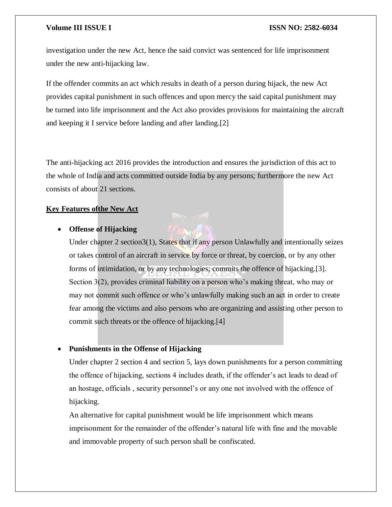investigation under the new Act, hence the said convict was sentenced for life imprisonment under the new anti-hijacking law.

If the offender commits an act which results in death of a person during hijack, the new Act provides capital punishment in such offences and upon mercy the said capital punishment may be turned into life imprisonment and the Act also provides provisions for maintaining the aircraft and keeping it I service before landing and after landing.[2]

The anti-hijacking act 2016 provides the introduction and ensures the jurisdiction of this act to the whole of India and acts committed outside India by any persons; furthermore the new Act consists of about 21 sections.

#### **Key Features ofthe New Act**

#### **Offense of Hijacking**

Under chapter 2 section3(1), States that if any person Unlawfully and intentionally seizes or takes control of an aircraft in service by force or threat, by coercion, or by any other forms of intimidation, or by any technologies; commits the offence of hijacking.[3]. Section 3(2), provides criminal liability on a person who's making threat, who may or may not commit such offence or who's unlawfully making such an act in order to create fear among the victims and also persons who are organizing and assisting other person to commit such threats or the offence of hijacking.[4]

### **Punishments in the Offense of Hijacking**

Under chapter 2 section 4 and section 5, lays down punishments for a person committing the offence of hijacking, sections 4 includes death, if the offender's act leads to dead of an hostage, officials , security personnel's or any one not involved with the offence of hijacking.

An alternative for capital punishment would be life imprisonment which means imprisonment for the remainder of the offender's natural life with fine and the movable and immovable property of such person shall be confiscated.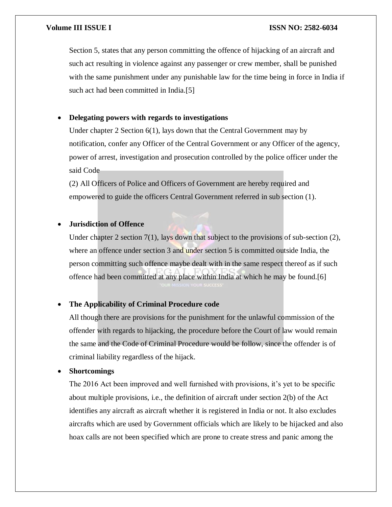Section 5, states that any person committing the offence of hijacking of an aircraft and such act resulting in violence against any passenger or crew member, shall be punished with the same punishment under any punishable law for the time being in force in India if such act had been committed in India.[5]

### **Delegating powers with regards to investigations**

Under chapter 2 Section 6(1), lays down that the Central Government may by notification, confer any Officer of the Central Government or any Officer of the agency, power of arrest, investigation and prosecution controlled by the police officer under the said Code

(2) All Officers of Police and Officers of Government are hereby required and empowered to guide the officers Central Government referred in sub section (1).

### **Jurisdiction of Offence**

Under chapter 2 section 7(1), lays down that subject to the provisions of sub-section  $(2)$ , where an offence under section 3 and under section 5 is committed outside India, the person committing such offence maybe dealt with in the same respect thereof as if such offence had been committed at any place within India at which he may be found.[6]

### **The Applicability of Criminal Procedure code**

All though there are provisions for the punishment for the unlawful commission of the offender with regards to hijacking, the procedure before the Court of law would remain the same and the Code of Criminal Procedure would be follow, since the offender is of criminal liability regardless of the hijack.

### **Shortcomings**

The 2016 Act been improved and well furnished with provisions, it's yet to be specific about multiple provisions, i.e., the definition of aircraft under section 2(b) of the Act identifies any aircraft as aircraft whether it is registered in India or not. It also excludes aircrafts which are used by Government officials which are likely to be hijacked and also hoax calls are not been specified which are prone to create stress and panic among the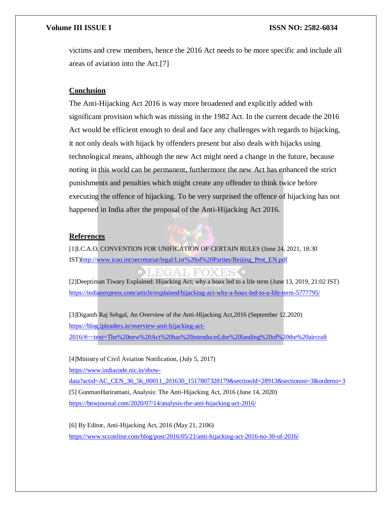victims and crew members, hence the 2016 Act needs to be more specific and include all areas of aviation into the Act.[7]

#### **Conclusion**

The Anti-Hijacking Act 2016 is way more broadened and explicitly added with significant provision which was missing in the 1982 Act. In the current decade the 2016 Act would be efficient enough to deal and face any challenges with regards to hijacking, it not only deals with hijack by offenders present but also deals with hijacks using technological means, although the new Act might need a change in the future, because noting in this world can be permanent, furthermore the new Act has enhanced the strict punishments and penalties which might create any offender to think twice before executing the offence of hijacking. To be very surprised the offence of hijacking has not happened in India after the proposal of the Anti-Hijacking Act 2016.

#### **References**



[1]I.C.A.O, CONVENTION FOR UNIFICATION OF CERTAIN RULES (June 24, 2021, 18:30 IST[\)http://www.icao.int/secretariat/legal/List%20of%20Parties/Beijing\\_Prot\\_EN.pdf](http://www.icao.int/secretariat/legal/List%20of%20Parties/Beijing_Prot_EN.pdf)

### **FGALFOXES**

[2]Deeptiman Tiwary Explained: Hijacking Act; why a hoax led to a life term (June 13, 2019, 21:02 IST) <https://indianexpress.com/article/explained/hijacking-act-why-a-hoax-led-to-a-life-term-5777795/>

[3]Diganth Raj Sehgal, An Overview of the Anti-Hijacking Act,2016 (September 12,2020) [https://blog.ipleaders.in/overview-anti-hijacking-act-](https://blog.ipleaders.in/overview-anti-hijacking-act-2016/#:~:text=The%20new%20Act%20has%20introduced,the%20landing%20of%20the%20aircraft)[2016/#:~:text=The%20new%20Act%20has%20introduced,the%20landing%20of%20the%20aircraft](https://blog.ipleaders.in/overview-anti-hijacking-act-2016/#:~:text=The%20new%20Act%20has%20introduced,the%20landing%20of%20the%20aircraft)

[4]Ministry of Civil Aviation Notification, (July 5, 2017)

[https://www.indiacode.nic.in/show-](https://www.indiacode.nic.in/show-data?actid=AC_CEN_36_56_00011_201630_1517807328179§ionId=28913§ionno=3&orderno=3)

[data?actid=AC\\_CEN\\_36\\_56\\_00011\\_201630\\_1517807328179&sectionId=28913&sectionno=3&orderno=3](https://www.indiacode.nic.in/show-data?actid=AC_CEN_36_56_00011_201630_1517807328179§ionId=28913§ionno=3&orderno=3) [5] GunmanHariramani, Analysis: The Anti-Hijacking Act, 2016 (June 14, 2020) <https://bnwjournal.com/2020/07/14/analysis-the-anti-hijacking-act-2016/>

[6] By Editor, Anti-Hijacking Act, 2016 (May 21, 2106) <https://www.scconline.com/blog/post/2016/05/21/anti-hijacking-act-2016-no-30-of-2016/>